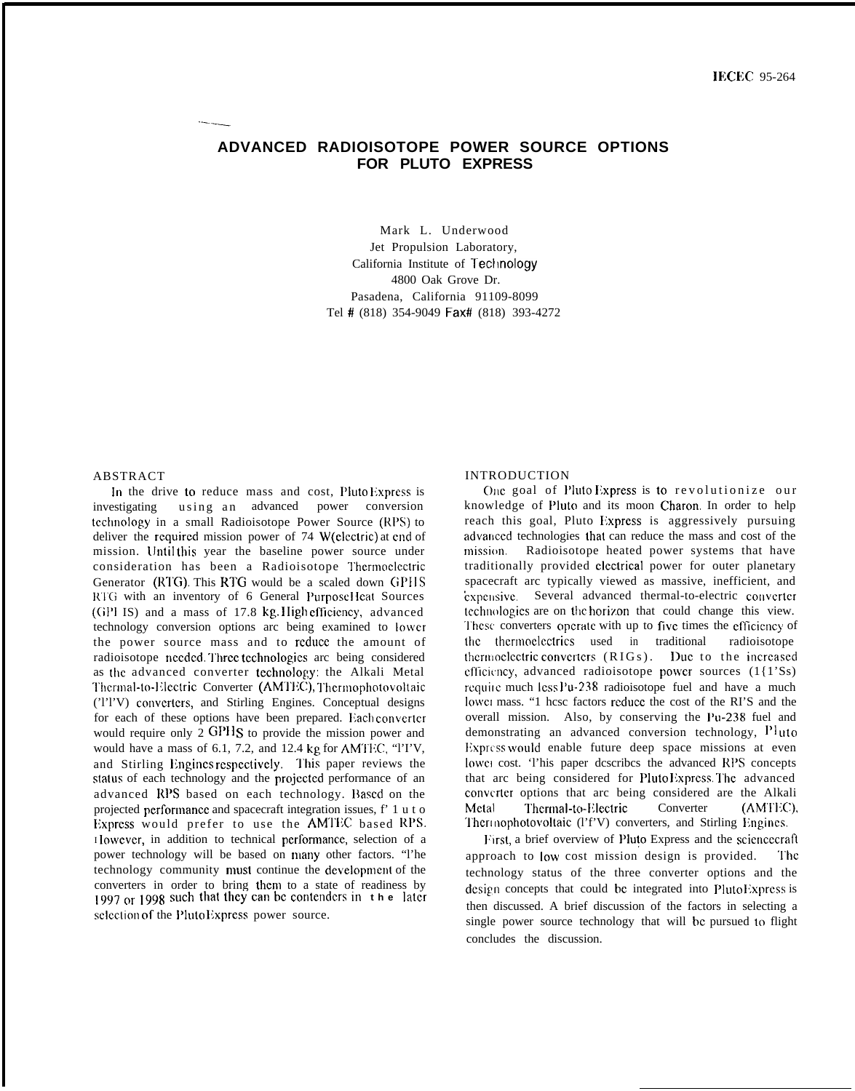# ADVANCED RADIOISOTOPE POWER SOURCE OPTIONS **FOR PLUTO EXPRESS**

Mark L. Underwood Jet Propulsion Laboratory, California Institute of Technology 4800 Oak Grove Dr. Pasadena, California 91109-8099 Tel # (818) 354-9049 Fax# (818) 393-4272

### **ABSTRACT**

In the drive to reduce mass and cost, Pluto Express is investigating using an advanced power conversion technology in a small Radioisotope Power Source (RPS) to deliver the required mission power of 74 W(electric) at end of mission. Until this year the baseline power source under consideration has been a Radioisotope Thermoelectric Generator (RTG). This RTG would be a scaled down GPHS RTG with an inventory of 6 General Purpose Heat Sources (GPI IS) and a mass of 17.8 kg. High efficiency, advanced technology conversion options arc being examined to lower the power source mass and to reduce the amount of radioisotope needed. Three technologies are being considered as the advanced converter technology: the Alkali Metal Thermal-to-Electric Converter (AMTEC), Thermophotovoltaic (TI'V) converters, and Stirling Engines. Conceptual designs for each of these options have been prepared. Each converter would require only 2 GPHS to provide the mission power and would have a mass of 6.1, 7.2, and 12.4 kg for AMTEC, "ITV, and Stirling Engines respectively. This paper reviews the status of each technology and the projected performance of an advanced RPS based on each technology. Based on the projected performance and spacecraft integration issues, f' 1 u t o Express would prefer to use the AMTEC based RPS. However, in addition to technical performance, selection of a power technology will be based on many other factors. "I'he technology community must continue the development of the converters in order to bring them to a state of readiness by<br>1997 or 1998 such that they can be contenders in the later selection of the Pluto Express power source.

### **INTRODUCTION**

One goal of Pluto Express is to revolutionize our knowledge of Pluto and its moon Charon. In order to help reach this goal, Pluto Express is aggressively pursuing advanced technologies that can reduce the mass and cost of the mission. Radioisotope heated power systems that have traditionally provided clectrical power for outer planetary spacecraft arc typically viewed as massive, inefficient, and expensive. Several advanced thermal-to-electric converter technologies are on the horizon that could change this view. These converters operate with up to five times the efficiency of the thermoelectrics used in traditional radioisotope thermoelectric converters (RIGs). Due to the increased efficiency, advanced radioisotope power sources (1{1'Ss) require much less Pu-238 radioisotope fuel and have a much lower mass. "1 hese factors reduce the cost of the RI'S and the overall mission. Also, by conserving the Pu-238 fuel and demonstrating an advanced conversion technology, Pluto Express would enable future deep space missions at even lower cost. This paper describes the advanced RPS concepts that arc being considered for PlutoExpress. The advanced converter options that arc being considered are the Alkali Thermal-to-Electric Converter Metal (AMTEC). Thermophotovoltaic (I'f'V) converters, and Stirling Engines.

First, a brief overview of Pluto Express and the sciencecraft approach to low cost mission design is provided. The technology status of the three converter options and the design concepts that could be integrated into PlutoExpress is then discussed. A brief discussion of the factors in selecting a single power source technology that will be pursued to flight concludes the discussion.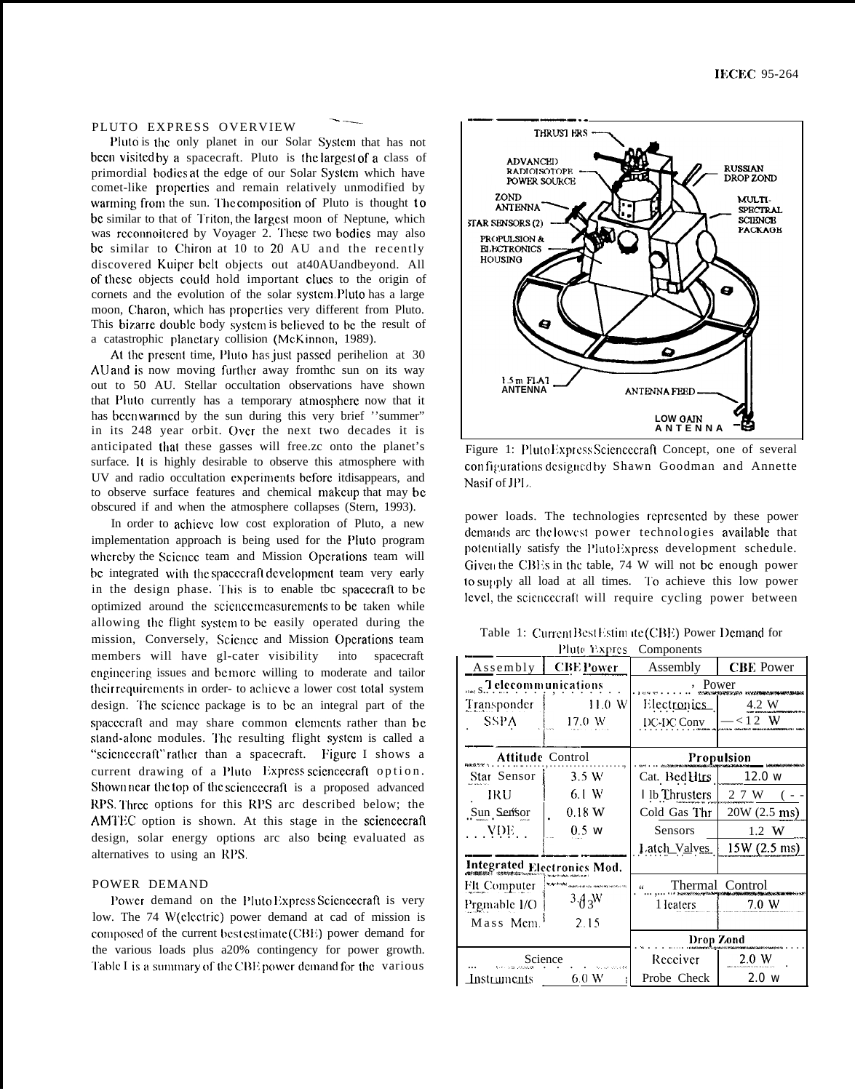### PLUTO EXPRESS OVERVIEW

Pluto is the only planet in our Solar System that has not been visited by a spacecraft. Pluto is the largest of a class of primordial bodies at the edge of our Solar System which have comet-like propcrlics and remain relatively unmodified by warming from the sun. The composition of Pluto is thought to be similar to that of Triton, the largest moon of Neptune, which was reconnoitered by Voyager 2. These two bodies may also bc similar to Chiron at 10 to 20 AU and the recently discovered Kuiper belt objects out at40AUandbeyond. All of these objects could hold important clues to the origin of cornets and the evolution of the solar system. Pluto has a large moon, Charon, which has properties very different from Pluto. This bizarre double body system is believed to be the result of a catastrophic planetary collision (McKinnon, 1989).

.— -—.

At the present time, Pluto has just passed perihelion at 30 AU and is now moving further away from the sun on its way out to 50 AU. Stellar occultation observations have shown that Pluto currently has a temporary atmosphere now that it has been warmed by the sun during this very brief "summer" in its 248 year orbit. Gvcr the next two decades it is anticipated tliat these gasses will free.zc onto the planet's surface. It is highly desirable to observe this atmosphere with UV and radio occultation experiments before itdisappears, and to observe surface features and chemical makcup that may be obscured if and when the atmosphere collapses (Stern, 1993).

In order to achieve low cost exploration of Pluto, a new implementation approach is being used for the I'luto program whereby the Science team and Mission Operations team will be integrated with the spacecraft development team very early in the design phase. This is to enable tbc spacecraft to be optimized around the scicncc mcasurcmcnts to bc taken while allowing the flight system to be easily operated during the mission, Conversely, Science and Mission Operations team members will have gl-cater visibility into spacecraft cnginecring issues and be more willing to moderate and tailor their requirements in order- to achieve a lower cost total system design. The science package is to be an integral part of the spacecraft and may share common elements rather than be stand-alone modules. The resulting flight system is called a "sciencecraft" rather than a spacecraft. Figure I shows a current drawing of a Pluto Express sciencecraft option. Shown near the top of the science craft is a proposed advanced RPS. Three options for this RPS arc described below; the AMTEC option is shown. At this stage in the sciencecraft design, solar energy options arc also being evaluated as alternatives to using an RPS.

## POWER DEMAND

Power demand on the Pluto Express Sciencecraft is very low. The 74 W(clectric) power demand at cad of mission is composed of the current best estimate (CBE) power demand for the various loads plus a20% contingency for power growth. Table I is a summary of the CBE power demand for the various



Figure 1: Pluto Express Sciencecraft Concept, one of several con figurations designed by Shawn Goodman and Annette Nasif of JPL.

power loads. The technologies rcprcscntcd by these power demands arc the lowest power technologies available that potentially satisfy the PlutoExpress development schedule. Given the CBEs in the table, 74 W will not be enough power to supply all load at all times. To achieve this low power lcvcl, the sciencecraft will require cycling power between

Table 1: Current Best Estim ite (CBE) Power Demand for

| Pluto Expres<br>Components    |                                           |                              |                 |  |  |
|-------------------------------|-------------------------------------------|------------------------------|-----------------|--|--|
| Assembly                      | <b>CBE Power</b>                          | Assembly<br><b>CBE</b> Power |                 |  |  |
|                               | <sub>1445</sub> S. elecommunications      |                              | , Power         |  |  |
| Transponder                   | 11.0 W                                    | Electronics                  | 4.2 W           |  |  |
| <b>SSPA</b>                   | 17.0 W                                    | DC-DC Conv                   | $-$ < 1 2 W     |  |  |
|                               |                                           |                              |                 |  |  |
| <b>Attitude Control</b>       |                                           | Propulsion                   |                 |  |  |
| Star Sensor                   | 3.5 W                                     | Cat. Bed Hirs                | 12.0 w          |  |  |
| IRU                           | 6.1 W                                     | I lb Thrusters               | 2 7 W           |  |  |
| Sun Sensor                    | 0.18 W                                    | Cold Gas Thr                 | 20W (2.5 ms)    |  |  |
| $\therefore$ YDE $\therefore$ | $0.5$ w                                   | Sensors                      | 1.2 W           |  |  |
|                               |                                           | Latch_Valves                 | $15W(2.5)$ ms)  |  |  |
| Integrated Electronics Mod.   |                                           |                              |                 |  |  |
| FIt Computer                  | .<br>Nasional professional control of the |                              | Thermal Control |  |  |
| Prgmable I/O                  | $3\frac{A}{3}$ <sup>W</sup>               | 1 leaters                    | 7.0 W           |  |  |
| Mass Mem.                     | 2.15                                      |                              |                 |  |  |
|                               |                                           | Drop Zond                    |                 |  |  |
| Science                       |                                           | Receiver<br>2.0 W            |                 |  |  |
| Instruments                   | 6.0 W                                     | Probe Check                  | 2.0 w           |  |  |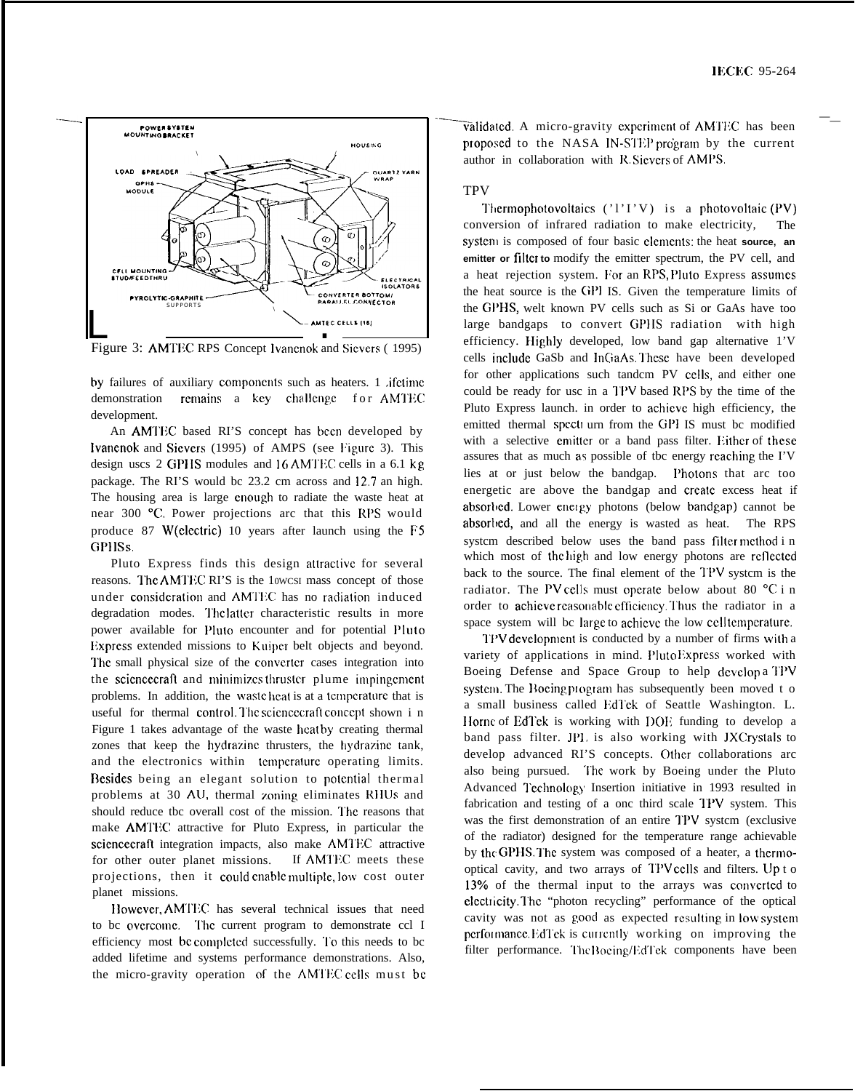

Figure 3: AMTEC RPS Concept Ivanenok and Sievers (1995)

by failures of auxiliary components such as heaters. 1 *ifetime* demonstration remains a key challenge for AMTEC development.

An AMTEC based RI'S concept has been developed by Ivanenok and Sievers (1995) of AMPS (see Figure 3). This design uscs 2 GPHS modules and 16 AMTEC cells in a 6.1 kg package. The RI'S would bc 23.2 cm across and 12.7 an high. The housing area is large cnough to radiate the waste heat at near 300 °C. Power projections arc that this RPS would produce 87 W(electric) 10 years after launch using the F5 **GPHSs** 

Pluto Express finds this design attractive for several reasons. The AMTEC RI'S is the 10WCSI mass concept of those under consideration and AMTEC has no radiation induced degradation modes. The latter characteristic results in more power available for Pluto encounter and for potential Pluto Express extended missions to Kuiper belt objects and beyond. The small physical size of the converter cases integration into the science craft and minimizes thruster plume impingement problems. In addition, the wasteheat is at a temperature that is useful for thermal control. The science craft concept shown in Figure 1 takes advantage of the waste heatby creating thermal zones that keep the hydrazine thrusters, the hydrazine tank, and the electronics within temperature operating limits. Besides being an elegant solution to potential thermal problems at 30 AU, thermal zoning eliminates RHUs and should reduce tbc overall cost of the mission. The reasons that make AMTEC attractive for Pluto Express, in particular the sciencecraft integration impacts, also make AMTEC attractive If AMTEC meets these for other outer planet missions. projections, then it could enable multiple, low cost outer planet missions.

However, AMTEC has several technical issues that need to bc overcome. The current program to demonstrate ccl I efficiency most be completed successfully. To this needs to be added lifetime and systems performance demonstrations. Also, the micro-gravity operation of the AMTEC cells must be

validated. A micro-gravity experiment of AMTEC has been proposed to the NASA IN-STEP program by the current author in collaboration with R. Sievers of AMPS.

## **TPV**

Thermophotovoltaics  $('1'I'V)$  is a photovoltaic (PV) conversion of infrared radiation to make electricity, system is composed of four basic elements: the heat source, an emitter or filter to modify the emitter spectrum, the PV cell, and a heat rejection system. For an RPS, Pluto Express assumes the heat source is the GPI IS. Given the temperature limits of the GPHS, welt known PV cells such as Si or GaAs have too large bandgaps to convert GPHS radiation with high efficiency. Highly developed, low band gap alternative 1'V cells include GaSb and InGaAs. These have been developed for other applications such tandem PV cells, and either one could be ready for usc in a TPV based RPS by the time of the Pluto Express launch. in order to achieve high efficiency, the emitted thermal specti urn from the GPI IS must bc modified with a selective emitter or a band pass filter. Either of these assures that as much as possible of tbc energy reaching the I'V lies at or just below the bandgap. Photons that arc too energetic are above the bandgap and create excess heat if absorbed. Lower energy photons (below bandgap) cannot be absorbed, and all the energy is wasted as heat. The RPS system described below uses the band pass filter method in which most of the high and low energy photons are reflected back to the source. The final element of the TPV system is the radiator. The PV cells must operate below about 80 °C i n order to achieve reasonable efficiency. Thus the radiator in a space system will be large to achieve the low cell temperature.

TPV development is conducted by a number of firms with a variety of applications in mind. PlutoExpress worked with Boeing Defense and Space Group to help develop a TPV system. The Bocing program has subsequently been moved t o a small business called EdTek of Seattle Washington. L. Horne of EdTek is working with DOE funding to develop a band pass filter. JPL is also working with JXCrystals to develop advanced RI'S concepts. Other collaborations arc also being pursued. The work by Boeing under the Pluto Advanced Technology Insertion initiative in 1993 resulted in fabrication and testing of a onc third scale TPV system. This was the first demonstration of an entire TPV system (exclusive of the radiator) designed for the temperature range achievable by the GPHS. The system was composed of a heater, a thermooptical cavity, and two arrays of TPV cells and filters. Up t o 13% of the thermal input to the arrays was converted to electricity. The "photon recycling" performance of the optical cavity was not as good as expected resulting in low system performance. EdTek is currently working on improving the filter performance. The Boeing/EdTek components have been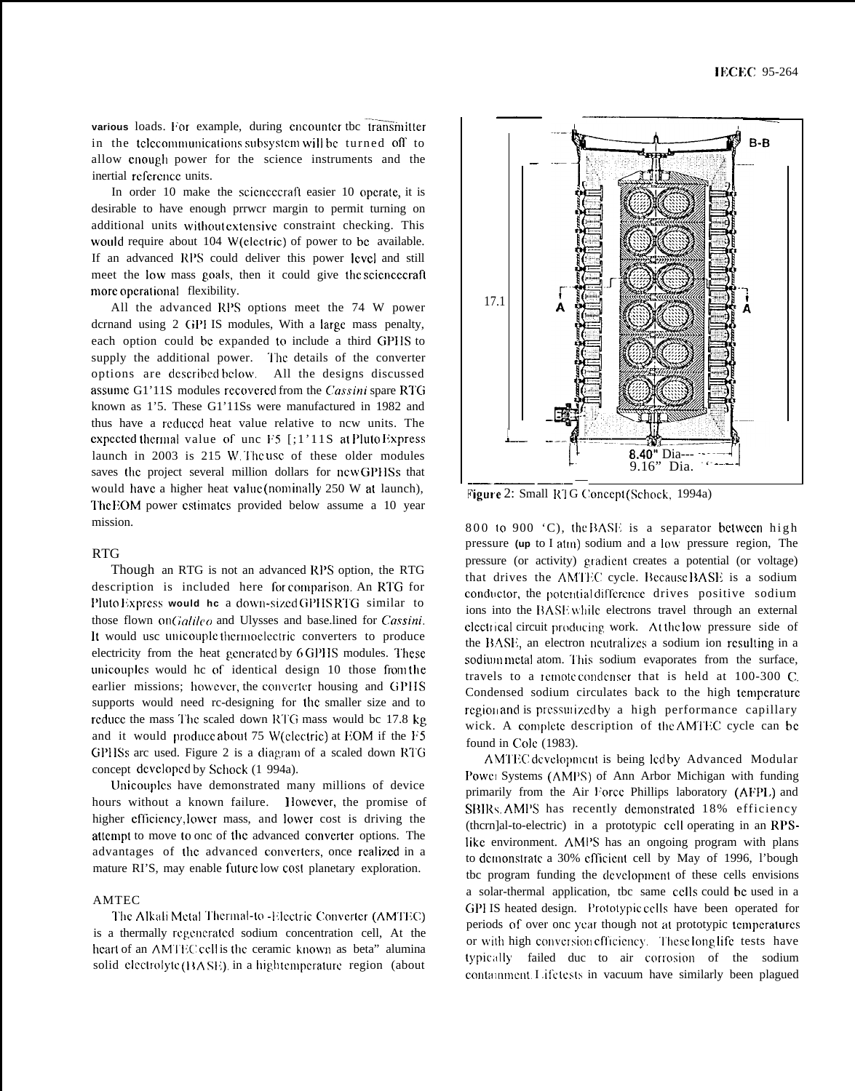various loads. For example, during encounter tbc transmitter in the telecommunications subsystem will be turned off to allow cnough power for the science instruments and the inertial reference units.

In order 10 make the science craft easier 10 operate, it is desirable to have enough prrwcr margin to permit turning on additional units wilhoot cxtcnsivc constraint checking. This would require about 104 W(clectric) of power to be available. If an advanced RPS could deliver this power level and still meet the low mass goals, then it could give the sciencecraft more operational flexibility.

All the advanced RPS options meet the 74 W power dcrnand using 2 GPl IS modules, With a Iargc mass penalty, each option could bc expanded to include a third GPIIS to supply the additional power. The details of the converter options are described below. All the designs discussed assume G1'11S modules recovered from the *Cassini* spare RTG known as 1'5. These G1'11Ss were manufactured in 1982 and thus have a rcduccd heat value relative to ncw units. The expected thermal value of unc  $F5$  [;1'11S at Pluto Express launch in 2003 is 215 W. The use of these older modules saves the project several million dollars for new GPHSs that would have a higher heat value (nominally 250 W at launch), The EOM power estimates provided below assume a 10 year mission.

### RTG

Though an RTG is not an advanced RPS option, the RTG description is included here for comparison. An RTG for Pluto Express would he a down-sized GPHS RTG similar to those flown on *(;ali/co* and Ulysses and base.lined for *Cassini.* It would usc unicouple thermoelectric converters to produce electricity from the heat generated by 6 GPHS modules. These unicouples would he of identical design 10 those from the earlier missions; however, the converter housing and GPHS supports would need rc-designing for the smaller size and to reduce the mass The scaled down RTG mass would be 17.8 kg and it would produce about 75 W(clectric) at EOM if the  $F5$ GPHSs arc used. Figure 2 is a diagram of a scaled down RTG concept dcvclopcd by Schock (1 994a).

Unicouplcs have demonstrated many millions of device hours without a known failure. However, the promise of higher efficiency, lower mass, and lower cost is driving the attempt to move to onc of the advanced converter options. The advantages of the advanced converters, once realized in a mature RI'S, may enable future low cost planetary exploration.

### AMTEC

The Alkali Metal Thermal-to -Electric Converter (AMTEC) is a thermally regenerated sodium concentration cell, At the heart of an AMTEC cell is the ceramic known as beta" alumina solid clectrolyte  $(BASE)$  in a hightemperature region (about



800 to 900  $^{\circ}$ C), the BASE is a separator between high pressure **(up** to I atln) sodium and a low pressure region, The pressure (or activity) gradient creates a potential (or voltage) that drives the AMTEC cycle. Because BASE is a sodium conductor, the potential difference drives positive sodium ions into the BASE while electrons travel through an external electrical circuit producing, work. At the low pressure side of the BASE, an electron ncutralizes a sodium ion resulting in a sodium metal atom. This sodium evaporates from the surface, travels to a remote condenser that is held at 100-300 C. Condensed sodium circulates back to the high temperature region and is pressurized by a high performance capillary wick. A complete description of the AMTEC cycle can be found in Cole (1983).

AMTEC development is being ledby Advanced Modular Powet Systems (AMPS) of Ann Arbor Michigan with funding primarily from the Air Force Phillips laboratory (AFPL) and SBIRs. AMPS has recently demonstrated 18% efficiency (thcrn]al-to-electric) in a prototypic CCII operating in an RPSlike environment. AMPS has an ongoing program with plans to demonstrate a 30% efficient cell by May of 1996, l'bough tbc program funding the dcvclopmcnt of these cells envisions a solar-thermal application, tbc same CCIIS could bc used in a GPI IS heated design. Prototypic cells have been operated for periods of over onc year though not at prototypic temperatures or with high conversion efficiency. These long life tests have typically failed duc to air corrosion of the sodium containment. I if etests in vacuum have similarly been plagued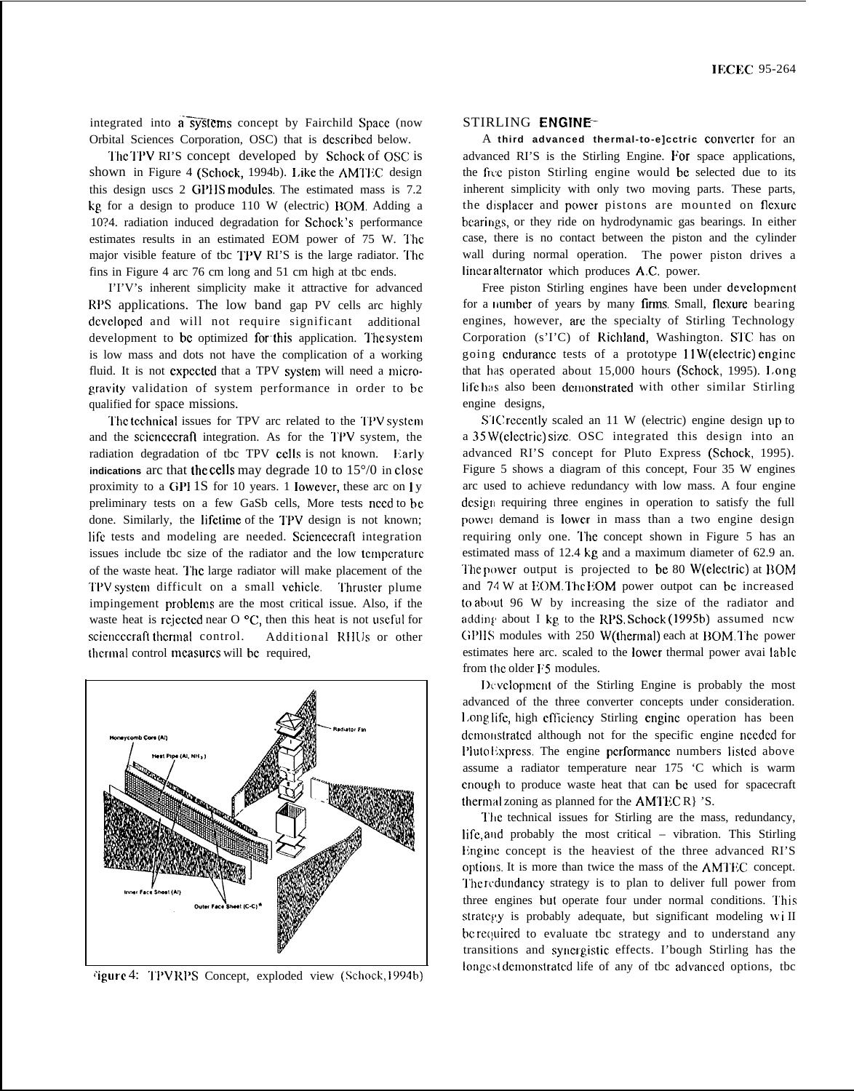integrated into a systems concept by Fairchild Space (now Orbital Sciences Corporation, OSC) that is dcscribcd below.

'1'hc '1'PV RI'S concept developed by Schock of OSC is shown in Figure 4 (Schock, 1994b). Like the AMTEC design this design uscs 2 GPHS modules. The estimated mass is 7.2 kg for a design to produce 110 W (electric) BOM. Adding a 10?4. radiation induced degradation for Schock's performance estimates results in an estimated EOM power of 75 W. The major visible feature of tbc TPV RI'S is the large radiator. The fins in Figure 4 arc 76 cm long and 51 cm high at tbc ends.

I'I'V's inherent simplicity make it attractive for advanced RPS applications. The low band gap PV cells arc highly dcvclopcd and will not require significant additional development to bc optimized forthis application. I'hc systcm is low mass and dots not have the complication of a working fluid. It is not expected that a TPV system will need a microgravity validation of system performance in order to be qualified for space missions.

The technical issues for TPV arc related to the TPV system and the sciencecraft integration. As for the TPV system, the radiation degradation of tbc TPV cells is not known. Early **indications** arc that the cells may degrade 10 to 15°/0 in close proximity to a GPI 1S for 10 years. 1 lowcver, these arc on I y preliminary tests on a few GaSb cells, More tests need to be done. Similarly, the lifetime of the TPV design is not known; Iifc tests and modeling are needed. Scicncecraft integration issues include tbc size of the radiator and the low temperature of the waste heat. I'hc large radiator will make placement of the '1'I'V systcm difficult on a small vchiclc. "1'hrustcr plume impingement problems are the most critical issue. Also, if the waste heat is rejected near O  $\rm{^{\circ}C}$ , then this heat is not useful for sciencecraft thermal control. Additional RHUs or other thermal control measures will be required,



~igurc 4: '1'1'V 1{1'S Concept, exploded view (Schock, 1994b)

### STIRLING ENGINE–

A **third advanced thermal-to-e]cctric convcrtcr** for an advanced RI'S is the Stirling Engine. For space applications, the free piston Stirling engine would be selected due to its inherent simplicity with only two moving parts. These parts, the displacer and power pistons are mounted on flexure bearings, or they ride on hydrodynamic gas bearings. In either case, there is no contact between the piston and the cylinder wall during normal operation. The power piston drives a linear alternator which produces A.C. power.

Free piston Stirling engines have been under development for a number of years by many firms. Small, flexure bearing engines, however, arc the specialty of Stirling Technology Corporation (s'I'C) of Richland, Washington. STC has on going endurance tests of a prototype 11W(electric) engine that has operated about 15,000 hours (Schock, 1995). I,ong life has also been demonstrated with other similar Stirling engine designs,

STC recently scaled an 11 W (electric) engine design up to a 35 W(clcctric) sixc. OSC integrated this design into an advanced RI'S concept for Pluto Express (Schock, 1995). Figure 5 shows a diagram of this concept, Four 35 W engines arc used to achieve redundancy with low mass. A four engine design requiring three engines in operation to satisfy the full powct demand is Iowcr in mass than a two engine design requiring only one. The concept shown in Figure 5 has an estimated mass of 12.4 kg and a maximum diameter of 62.9 an. The power output is projected to be 80 W(electric) at BOM and 74 W at EOM. The EOM power outpot can be increased to about 96 W by increasing the size of the radiator and adding about I kg to the RPS. Schock (1995b) assumed ncw GPHS modules with 250 W(thermal) each at BOM. The power estimates here arc. scaled to the Iowcr thermal power avai Iablc from the older F5 modules.

Development of the Stirling Engine is probably the most advanced of the three converter concepts under consideration. Longlife, high efficiency Stirling engine operation has been demonstrated although not for the specific engine needed for PlutoExpress. The engine performance numbers listed above assume a radiator temperature near 175 'C which is warm cnoug,h to produce waste heat that can bc used for spacecraft thermal zoning as planned for the  $AMTECR$  'S.

The technical issues for Stirling are the mass, redundancy, Iifc, and probably the most critical – vibration. This Stirling Engine concept is the heaviest of the three advanced RI'S options. It is more than twice the mass of the AMTEC concept. The redundancy strategy is to plan to deliver full power from three engines but operate four under normal conditions. This stratcgy is probably adequate, but significant modeling wi II bc required to evaluate tbc strategy and to understand any transitions and syncreistic effects. I'bough Stirling has the longest demonstrated life of any of tbc advanced options, tbc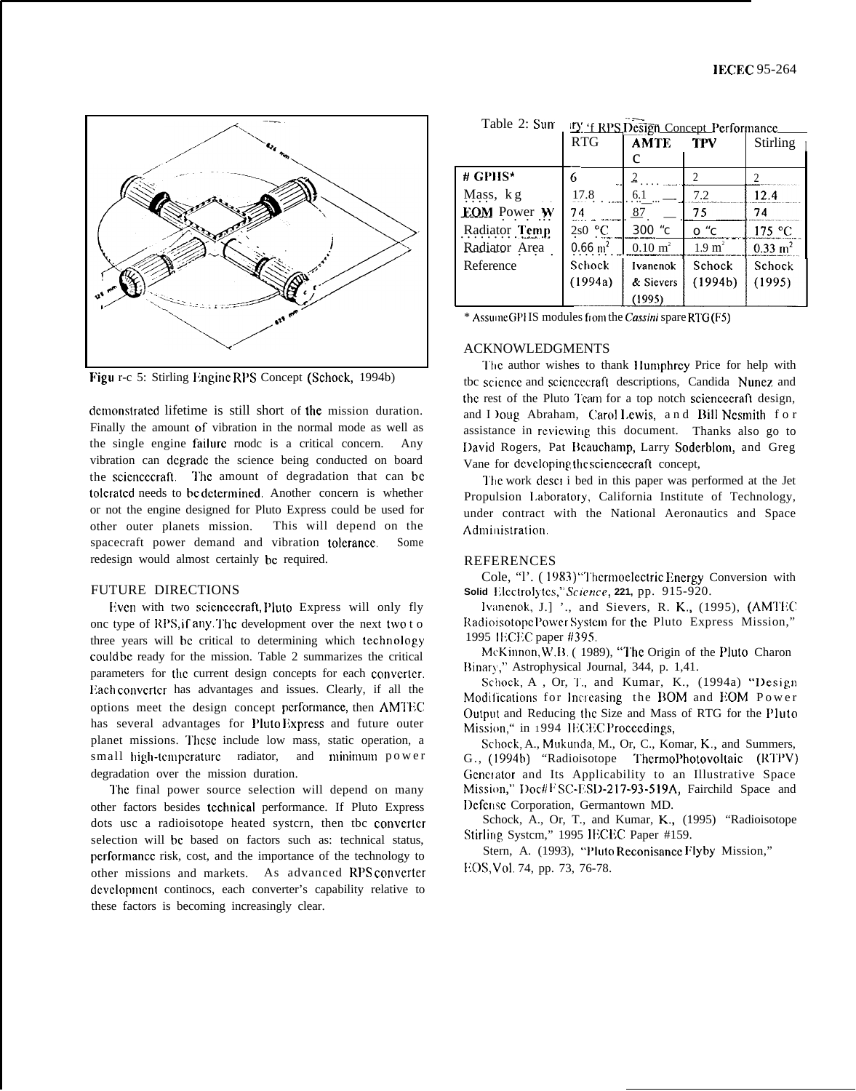

Figu r-c 5: Stirling Engine RPS Concept (Schock, 1994b)

demonstrated lifetime is still short of the mission duration. Finally the amount of vibration in the normal mode as well as the single engine failure rnode is a critical concern. Any vibration can degrade the science being conducted on board the sciencecraft. The amount of degradation that can be tolcrated needs to be determined. Another concern is whether or not the engine designed for Pluto Express could be used for other outer planets mission. This will depend on the spacecraft power demand and vibration tolcrancc. Some redesign would almost certainly bc required.

## FUTURE DIRECTIONS

Even with two sciencecraft, Pluto Express will only fly onc type of RPS, if any . The development over the next two to three years will be critical to determining which technology could bc ready for the mission. Table 2 summarizes the critical parameters for the current design concepts for each converter. Each converter has advantages and issues. Clearly, if all the options meet the design concept performance, then AMTEC has several advantages for Pluto Express and future outer planet missions. These include low mass, static operation, a small high-temperature radiator, and minimum power degradation over the mission duration.

I'hc final power source selection will depend on many other factors besides tccbnical performance. If Pluto Express dots usc a radioisotope heated systcrn, then tbc converter selection will be based on factors such as: technical status, performance risk, cost, and the importance of the technology to other missions and markets. As advanced RPS converter development continocs, each converter's capability relative to these factors is becoming increasingly clear.

|                    | <b>RTG</b>             | <b>AMTE</b>        | <b>TPV</b>        | Stirling               |
|--------------------|------------------------|--------------------|-------------------|------------------------|
|                    |                        | с                  |                   |                        |
| # GPHS*            | 6<br>$\mathbf{u}$      |                    |                   |                        |
| Mass, kg           | 17.8                   | 6.1                | 7.2               | 12.4                   |
| <b>EOM</b> Power W | 74                     | 87                 | 75                | 74                     |
| Radiator Temp      | 2s0 °C                 | 300 °c             | o "c              | 175 °C                 |
| Radiator Area      | $0.66 \; \mathrm{m}^2$ | $0.10 \text{ m}^2$ | $1.9 \text{ m}^2$ | $0.33 \; \mathrm{m}^2$ |
| Reference          | Schock                 | Ivanenok           | Schock            | Schock                 |
|                    | (1994a)                | & Sievers          | (1994b)           | (1995)                 |
|                    |                        | (1995)             |                   |                        |

Table 2: Sum ity  $f$  RPS Desi **IV** 'f RPS Design Concept Performance

 $*$  AssumeGPHS modules from the *Cassini* spare RTG (F5)

### ACKNOWLEDGMENTS

The author wishes to thank Humphrey Price for help with tbc scicncc and scicncccrafl descriptions, Candida Nunez and the rest of the Pluto Team for a top notch sciencecraft design, and I )oug Abraham, Carol Lewis, and Bill Nesmith for assistance in reviewing this document. Thanks also go to David Rogers, Pat Beauchamp, Larry Soderblom, and Greg Vane for developing the sciencecraft concept,

I'hc work dcscr i bed in this paper was performed at the Jet Propulsion Laboratory, California Institute of Technology, under contract with the National Aeronautics and Space Administration.

### REFERENCES

Cole, "l'. (1983) "Thermoelectric Energy Conversion with Solid Electrolytes," Science, 221, pp. 915-920.

**lvanenok, J.]** '., and Sievers, R. K., (1995), (AMTEC Radioisotope Power System for the Pluto Express Mission," 1995 **IECEC** paper #395.

McKinnon, W.B. (1989), "The Origin of the Pluto Charon Rinary," Astrophysical Journal, 344, p. 1,41.

Schock, A., Or, T., and Kumar, K., (1994a) "Design Modifications for Increasing the BOM and EOM Power Output and Reducing the Size and Mass of RTG for the Pluto Mission," in 1994 IECEC Proceedings,

Schock, A., Mukunda, M., Or, C., Komar, K., and Summers, G., (1994b) "Radioisotope ThermoPhotovoltaic (RTPV) Generator and Its Applicability to an Illustrative Space Mission," Doc#FSC-ESD-217-93-519A, Fairchild Space and Defense Corporation, Germantown MD.

Schock, A., Or, T., and Kumar, K., (1995) "Radioisotope Stirling System," 1995 IECEC Paper #159.

Stern, A. (1993), "Pluto Reconisance Flyby Mission," EOS, Vol. 74, pp. 73, 76-78.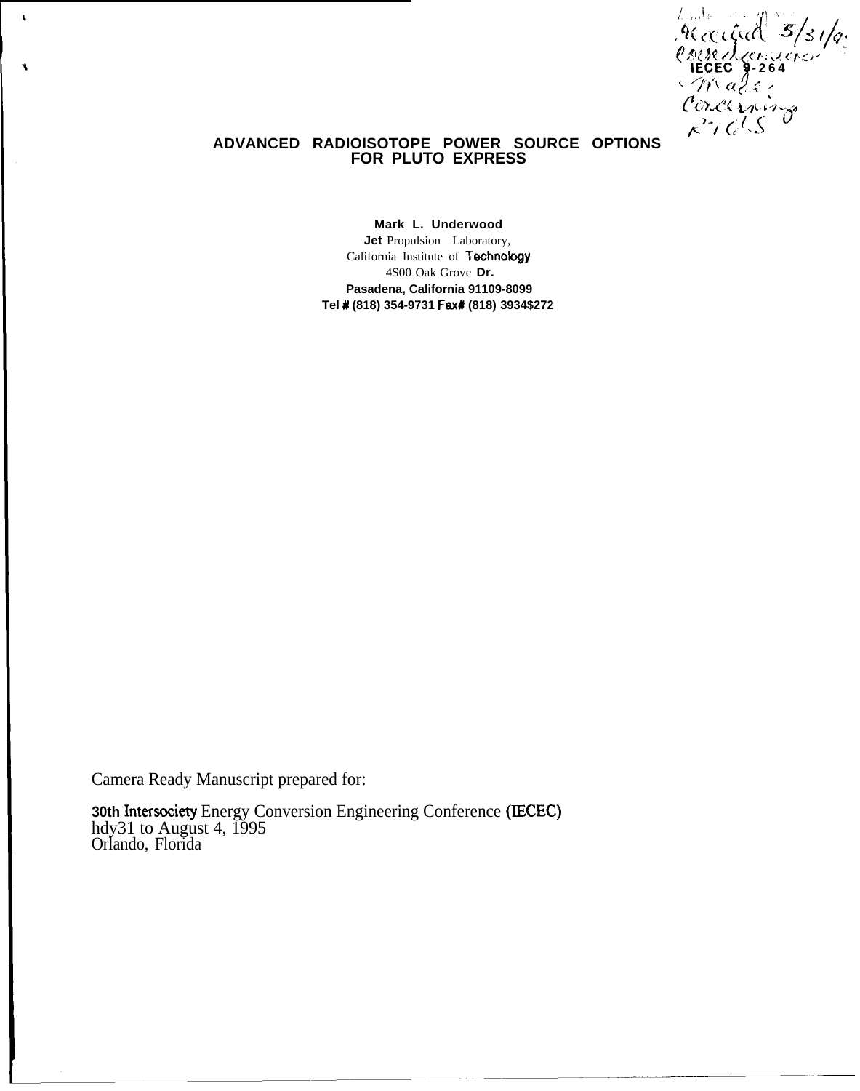/ who died 3/31/g. '?Mt ( .<("rL)' - **IECEC 5-26 4 '. +}'( (({1 <sup>q</sup> : P(WI .L.4LW.03 /", (f{%<.**

# **ADVANCED RADIOISOTOPE POWER SOURCE OPTIONS FOR PLUTO EXPRESS**

**Mark L. Underwood Jet** Propulsion Laboratory, California Institute of Technology 4S00 Oak Grove **Dr. Pasadena, California 91109-8099 Tel # (818) 354-9731 Fax# (818) 3934\$272**

Camera Ready Manuscript prepared for:

 $\bar{\mathbf{t}}$ 

 $\bullet$ 

**30th** Intersociety Energy Conversion Engineering Conference (IECEC) hdy31 to August 4, 1995 Orlando, Florida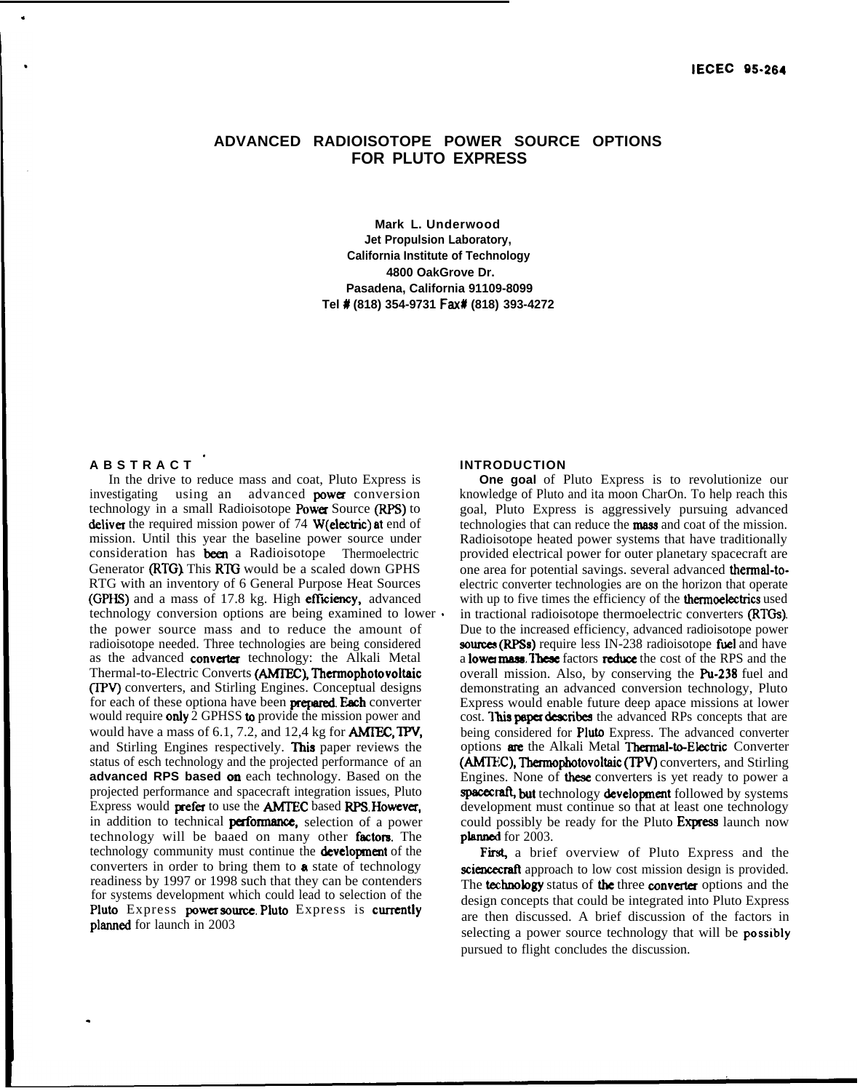# **ADVANCED RADIOISOTOPE POWER SOURCE OPTIONS FOR PLUTO EXPRESS**

**Mark L. Underwood Jet Propulsion Laboratory, California Institute of Technology 4800 OakGrove Dr. Pasadena, California 91109-8099 Tel # (818) 354-9731 Fax# (818) 393-4272**

# **ABSTRACT '**

.

.

In the drive to reduce mass and coat, Pluto Express is investigating using an advanced **power** conversion technology in a small Radioisotope Power Source (RPS) to deliver the required mission power of 74 W(electric) at end of mission. Until this year the baseline power source under consideration has been a Radioisotope Thermoelectric Generator (RTG). This RTG would be a scaled down GPHS RTG with an inventory of 6 General Purpose Heat Sources (GPHS) and a mass of 17.8 kg. High efficiency, advanced technology conversion options are being examined to lower <sup>~</sup> the power source mass and to reduce the amount of radioisotope needed. Three technologies are being considered as the advanced **converter** technology: the Alkali Metal Thermal-to-Electric Converts (AMTEC), Thermophotovoltaic (TPV) converters, and Stirling Engines. Conceptual designs for each of these optiona have been **prepared. Each** converter would require only  $\overline{2}$  GPHSS to provide the mission power and would have a mass of  $6.1$ , 7.2, and 12,4 kg for **AMIEC, TPV,** and Stirling Engines respectively. This paper reviews the status of esch technology and the projected performance of an **advanced RPS based on** each technology. Based on the projected performance and spacecraft integration issues, Pluto Express would prefer to use the **AMTEC** based RPS. However, in addition to technical **performance**, selection of a power technology will be baaed on many other fhctora. The technology community must continue the **development** of the converters in order to bring them to a state of technology readiness by 1997 or 1998 such that they can be contenders for systems development which could lead to selection of the Pluto Express power source. Pluto Express is currently planned for launch in 2003

#### **INTRODUCTION**

**One goal** of Pluto Express is to revolutionize our knowledge of Pluto and ita moon CharOn. To help reach this goal, Pluto Express is aggressively pursuing advanced technologies that can reduce the **mass** and coat of the mission. Radioisotope heated power systems that have traditionally provided electrical power for outer planetary spacecraft are one area for potential savings. several advanced thermal-toelectric converter technologies are on the horizon that operate with up to five times the efficiency of the **thermoelectrics** used in tractional radioisotope thermoelectric converters (RTQs). Due to the increased efficiency, advanced radioisotope power sources (RPSs) require less IN-238 radioisotope fuel and have a **lower mass. These** factors **reduce** the cost of the RPS and the overall mission. Also, by conserving the Pu-238 fuel and demonstrating an advanced conversion technology, Pluto Express would enable future deep apace missions at lower cost. This paper describes the advanced RPs concepts that are being considered for Pluto Express. The advanced converter options are the Alkali Metal Thermal-to-Electric Converter (AMTEC), Thermophotovoltaic (TPV) converters, and Stirling Engines. None of these converters is yet ready to power a spacecraft, but technology development followed by systems development must continue so that at least one technology could possibly be ready for the Pluto Express launch now planned for 2003.

First, a brief overview of Pluto Express and the sciencecraft approach to low cost mission design is provided. The technology status of the three converter options and the design concepts that could be integrated into Pluto Express are then discussed. A brief discussion of the factors in selecting a power source technology that will be possibly pursued to flight concludes the discussion.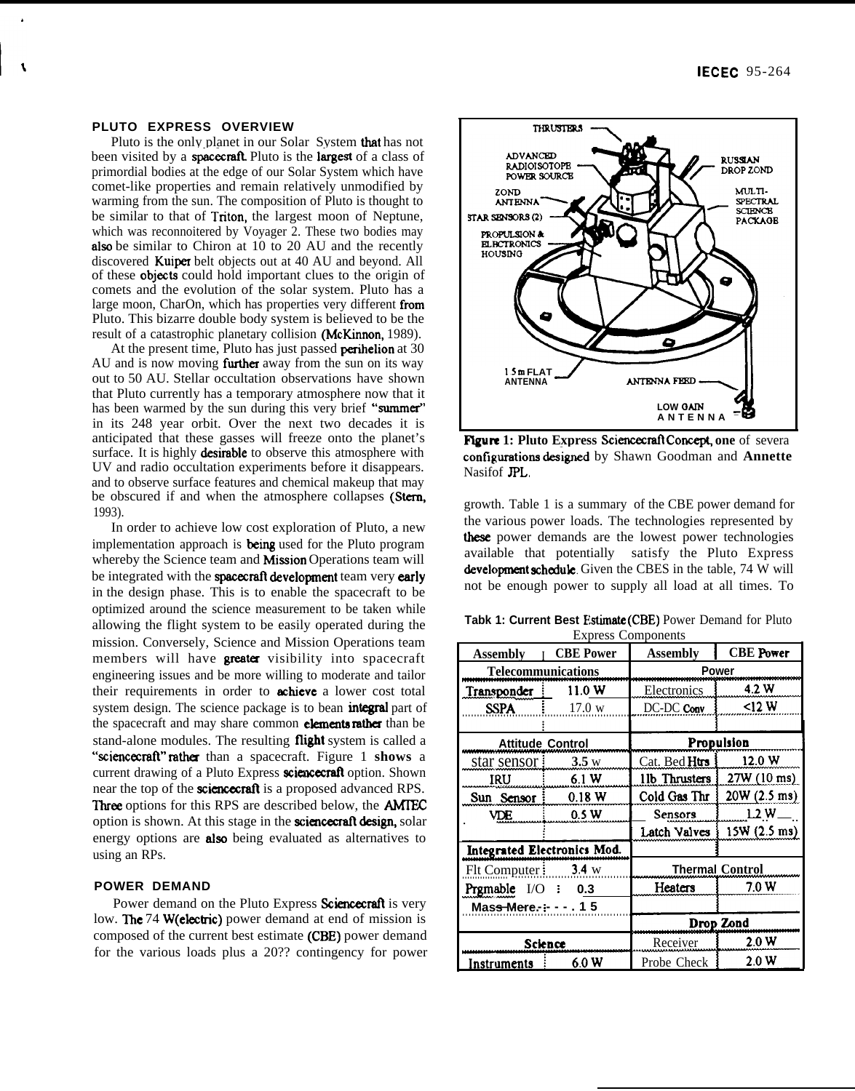#### **PLUTO EXPRESS OVERVIEW**

A

Pluto is the only planet in our Solar System that has not been visited by a spacecraft. Pluto is the largest of a class of primordial bodies at the edge of our Solar System which have comet-like properties and remain relatively unmodified by warming from the sun. The composition of Pluto is thought to be similar to that of Tnton, the largest moon of Neptune, which was reconnoitered by Voyager 2. These two bodies may also be similar to Chiron at 10 to 20 AU and the recently discovered Kuiper belt objects out at 40 AU and beyond. All of these objects could hold important clues to the origin of comets and the evolution of the solar system. Pluto has a large moon, CharOn, which has properties very different from Pluto. This bizarre double body system is believed to be the result of a catastrophic planetary collision (McKinnon, 1989).

At the present time, Pluto has just passed **perihelion** at 30 AU and is now moving **further** away from the sun on its way out to 50 AU. Stellar occultation observations have shown that Pluto currently has a temporary atmosphere now that it has been warmed by the sun during this very brief "summer" in its 248 year orbit. Over the next two decades it is anticipated that these gasses will freeze onto the planet's surface. It is highly desirable to observe this atmosphere with UV and radio occultation experiments before it disappears. and to observe surface features and chemical makeup that may be obscured if and when the atmosphere collapses (Stern, 1993).

In order to achieve low cost exploration of Pluto, a new implementation approach is being used for the Pluto program whereby the Science team and Mission Operations team will be integrated with the spacecraft development team very early in the design phase. This is to enable the spacecraft to be optimized around the science measurement to be taken while allowing the flight system to be easily operated during the mission. Conversely, Science and Mission Operations team members will have **greater** visibility into spacecraft engineering issues and be more willing to moderate and tailor their requirements in order to **achieve** a lower cost total system design. The science package is to bean **integral** part of the spacecraft and may share common **elements rather** than be stand-alone modules. The resulting flight system is called a "sciencecraft" rather than a spacecraft. Figure 1 shows a current drawing of a Pluto Express sciencecraft option. Shown near the top of the **sciencecraft** is a proposed advanced RPS. Three options for this RPS are described below, the **AMIEC** option is shown. At this stage in the science craft design, solar energy options are **also** being evaluated as alternatives to using an RPs.

## **POWER DEMAND**

Power demand on the Pluto Express Sciencecraft is very low. The 74 W(electric) power demand at end of mission is composed of the current best estimate (CBE) power demand for the various loads plus a 20?? contingency for power



Figure 1: Pluto Express Sciencecraft Concept, one of severa configurations designed by Shawn Goodman and Annette Nasifof JPL.

growth. Table 1 is a summary of the CBE power demand for the various power loads. The technologies represented by these power demands are the lowest power technologies available that potentially satisfy the Pluto Express development schedule. Given the CBES in the table, 74 W will not be enough power to supply all load at all times. To

| Tabk 1: Current Best Estimate (CBE) Power Demand for Pluto |  |
|------------------------------------------------------------|--|
| <b>Express Components</b>                                  |  |

| <b>Express Components</b>        |                  |                        |                       |  |
|----------------------------------|------------------|------------------------|-----------------------|--|
| Assembly                         | <b>CBE</b> Power | Assembly               | <b>CBE</b> Power      |  |
| Telecommunications               |                  | Power                  |                       |  |
| Transponder                      | 11.0 W           | 4.2 W<br>Electronics   |                       |  |
| <b>SSPA</b>                      | 17.0 w           | DC-DC Conv             | <12 W                 |  |
|                                  |                  |                        |                       |  |
| <b>Attitude Control</b>          |                  | Propulsion             |                       |  |
| star sensor                      | 3.5 w            | Cat. Bed Htrs          | 12.0 W                |  |
| IRU                              | 6.1 W            | 11b Thrusters          | 27W (10 ms)           |  |
| Sun Sensor                       | 0.18 W           | Cold Gas Thr           | 20W(2.5 m s)          |  |
| VDE                              | 0.5 W            | Sensors                | <u>1.2</u> W          |  |
|                                  |                  | Latch Valves           | $15W(2.5 \text{ ms})$ |  |
| Integrated Electronics Mod.      |                  |                        |                       |  |
| 3.4 w<br>Flt Computer:           |                  | <b>Thermal Control</b> |                       |  |
| Prgmable I/O<br>0.3              |                  | Heaters                | 7.0 W                 |  |
| 15<br>Mas <del>s M</del> ere. :- |                  |                        |                       |  |
|                                  |                  | Drop Zond              |                       |  |
|                                  | Science          | 2.0 W<br>Receiver      |                       |  |
| Instruments                      | 6.0 W            | Probe Check            | 2.0 W                 |  |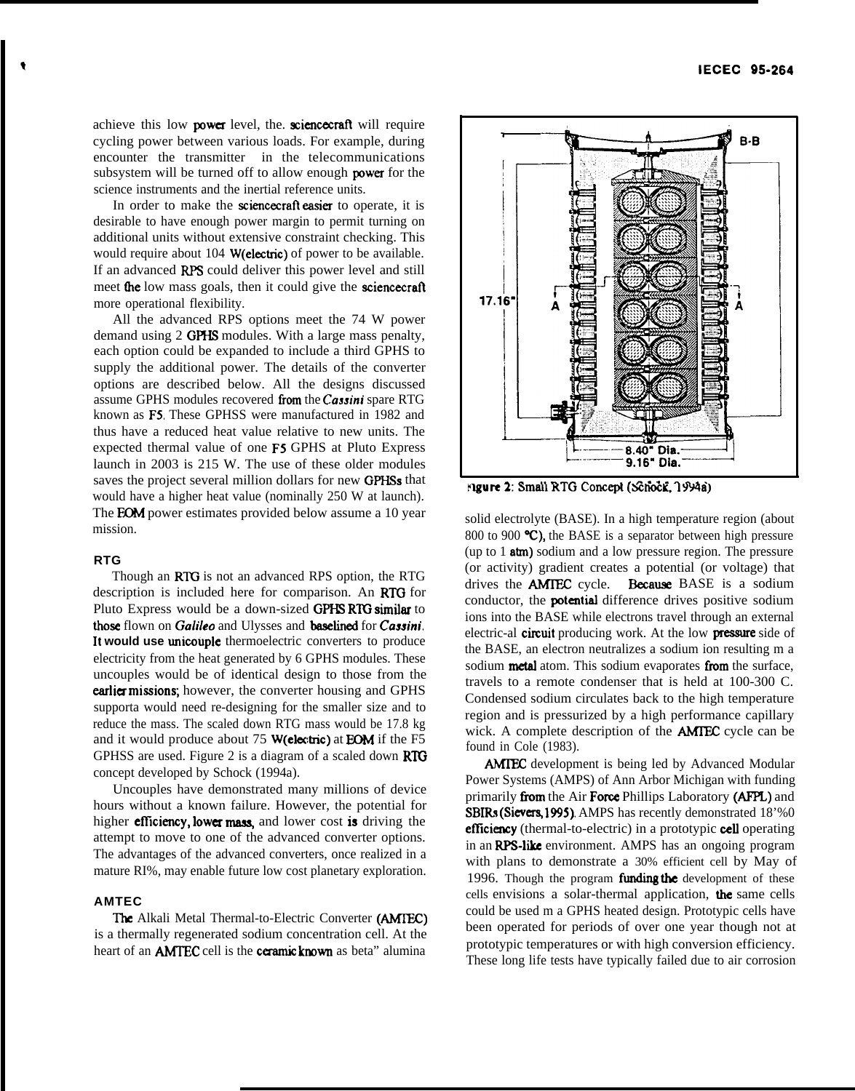achieve this low power level, the. sciencecraft will require cycling power between various loads. For example, during encounter the transmitter in the telecommunications subsystem will be turned off to allow enough power for the science instruments and the inertial reference units.

In order to make the sciencecraft easier to operate, it is desirable to have enough power margin to permit turning on additional units without extensive constraint checking. This would require about 104 **W(electric)** of power to be available. If an advanced RPS could deliver this power level and still meet the low mass goals, then it could give the sciencecraft more operational flexibility.

All the advanced RPS options meet the 74 W power demand using 2 GPHS modules. With a large mass penalty, each option could be expanded to include a third GPHS to supply the additional power. The details of the converter options are described below. All the designs discussed assume GPHS modules recovered from the Cassini spare RTG known as F5. These GPHSS were manufactured in 1982 and thus have a reduced heat value relative to new units. The expected thermal value of one F5 GPHS at Pluto Express launch in 2003 is 215 W. The use of these older modules saves the project several million dollars for new GPHSs that would have a higher heat value (nominally 250 W at launch). The **FOM** power estimates provided below assume a 10 year mission.

# **RTG**

Though an RTG is not an advanced RPS option, the RTG description is included here for comparison. An RTG for Pluto Express would be a down-sized GPHS RTG similar to those flown on *Galilea* and Ulysses and baselined for *Cassini.* It **would use** unicouple thermoelectric converters to produce electricity from the heat generated by 6 GPHS modules. These uncouples would be of identical design to those from the earlier missions; however, the converter housing and GPHS supporta would need re-designing for the smaller size and to reduce the mass. The scaled down RTG mass would be 17.8 kg and it would produce about  $75$  W(electric) at EOM if the F5 GPHSS are used. Figure 2 is a diagram of a scaled down  $RTG$ concept developed by Schock (1994a).

Uncouples have demonstrated many millions of device hours without a known failure. However, the potential for Uncouples have demonstrated many millions of device<br>hours without a known failure. However, the potential for<br>higher **efficiency, lower mass**, and lower cost **is** driving the<br>attempt to move to one of the advanced converte attempt to move to one of the advanced converter options. The advantages of the advanced converters, once realized in a mature RI%, may enable future low cost planetary exploration.

## **AMTEC**

**The Alkali Metal Thermal-to-Electric Converter (AMIEC)** is a thermally regenerated sodium concentration cell. At the heart of an **AMTEC** cell is the **ceramic known** as beta" alumina



solid electrolyte (BASE). In a high temperature region (about 800 to 900 °C), the BASE is a separator between high pressure (up to  $1$  atm) sodium and a low pressure region. The pressure (or activity) gradient creates a potential (or voltage) that drives the **AMTEC** cycle. Because BASE is a sodium conductor, the **potential** difference drives positive sodium ions into the BASE while electrons travel through an external electric-al circuit producing work. At the low pressure side of the BASE, an electron neutralizes a sodium ion resulting m a sodium metal atom. This sodium evaporates from the surface, travels to a remote condenser that is held at 100-300 C. Condensed sodium circulates back to the high temperature region and is pressurized by a high performance capillary wick. A complete description of the AMIEC cycle can be found in Cole (1983).

AMTEC development is being led by Advanced Modular Power Systems (AMPS) of Ann Arbor Michigan with funding primarily from the Air Force Phillips Laboratory (AFPL) and SBIRs (Sievers, 1995). AMPS has recently demonstrated 18'%0 efficiency (thermal-to-electric) in a prototypic cell operating in an RPS-like environment. AMPS has an ongoing program with plans to demonstrate a 30% efficient cell by May of 1996. Though the program funding the development of these cells envisions a solar-thermal application, the same cells could be used m a GPHS heated design. Prototypic cells have been operated for periods of over one year though not at prototypic temperatures or with high conversion efficiency. These long life tests have typically failed due to air corrosion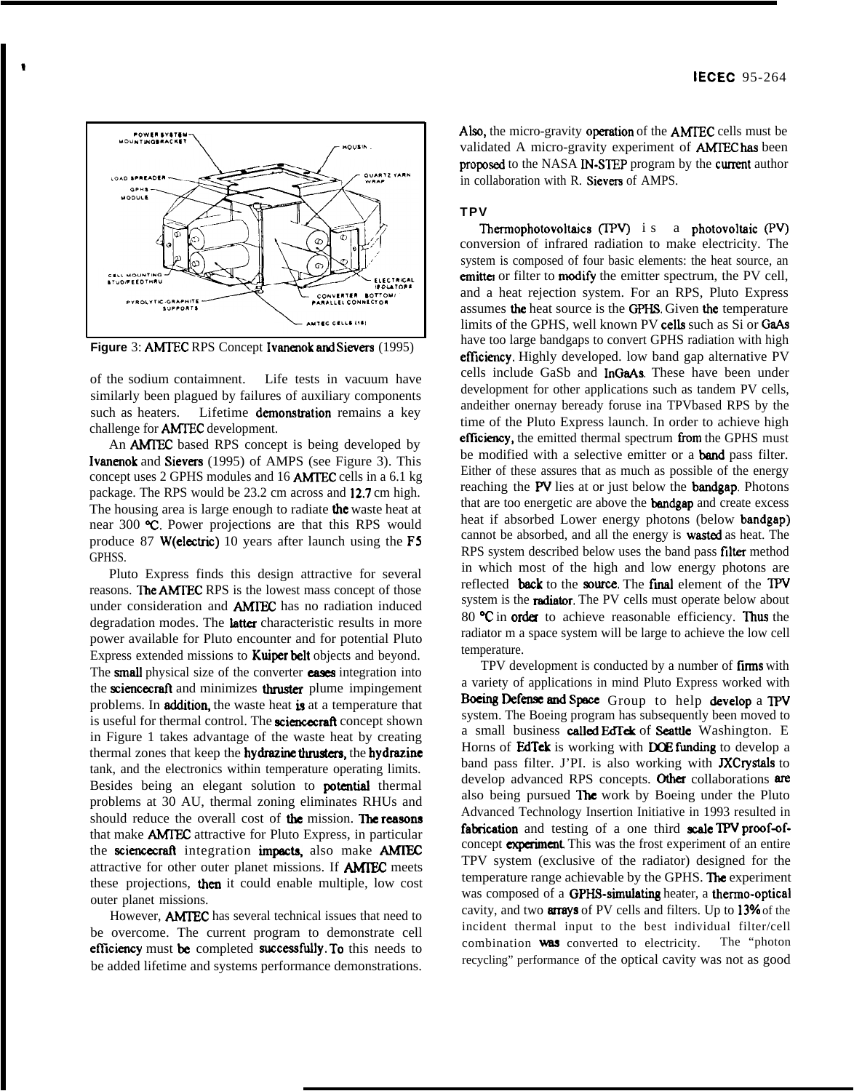

Figure 3: AMTEC RPS Concept Ivanenok and Sievers (1995)

of the sodium contaimnent. Life tests in vacuum have similarly been plagued by failures of auxiliary components such as heaters. Lifetime demonstration remains a key challenge for **AMTEC** development.

An **AMTEC** based RPS concept is being developed by **Ivanenok** and **Sievers** (1995) of AMPS (see Figure 3). This concept uses 2 GPHS modules and 16 **AMTEC** cells in a 6.1 kg package. The RPS would be 23.2 cm across and 12.7 cm high. The housing area is large enough to radiate the waste heat at near 300 °C. Power projections are that this RPS would produce 87 W(electric) 10 years after launch using the F5 GPHSS.

Pluto Express finds this design attractive for several reasons. The AMTEC RPS is the lowest mass concept of those under consideration and **AMIEC** has no radiation induced degradation modes. The latter characteristic results in more power available for Pluto encounter and for potential Pluto Express extended missions to Kuiper belt objects and beyond. The small physical size of the converter eases integration into the sciencecraft and minimizes thruster plume impingement problems. In **addition**, the waste heat is at a temperature that is useful for thermal control. The sciencecraft concept shown in Figure 1 takes advantage of the waste heat by creating thermal zones that keep the hydrazine thrusters, the hydrazine tank, and the electronics within temperature operating limits. Besides being an elegant solution to **potential** thermal problems at 30 AU, thermal zoning eliminates RHUs and should reduce the overall cost of the mission. The reasons that make **AMTEC** attractive for Pluto Express, in particular the sciencecraft integration impacts, also make AMTEC attractive for other outer planet missions. If **AMTEC** meets these projections, then it could enable multiple, low cost outer planet missions.

However, **AMTEC** has several technical issues that need to be overcome. The current program to demonstrate cell efficiency must be completed successfully. To this needs to be added lifetime and systems performance demonstrations. Also, the micro-gravity operation of the AMTEC cells must be validated A micro-gravity experiment of **AMTEC** has been proposed to the NASA IN-STEP program by the current author in collaboration with R. Sievers of AMPS.

# **TPV**

Thermophotovoltaics (TPV) i s a photovoltaic (PV) conversion of infrared radiation to make electricity. The system is composed of four basic elements: the heat source, an emitter or filter to modify the emitter spectrum, the PV cell, and a heat rejection system. For an RPS, Pluto Express assumes the heat source is the GPHS. Given the temperature limits of the GPHS, well known PV cells such as Si or GaAs have too large bandgaps to convert GPHS radiation with high efficiency. Highly developed. low band gap alternative PV cells include GaSb and InGaAs. These have been under development for other applications such as tandem PV cells, andeither onernay beready foruse ina TPVbased RPS by the time of the Pluto Express launch. In order to achieve high efficiency, the emitted thermal spectrum from the GPHS must be modified with a selective emitter or a **band** pass filter. Either of these assures that as much as possible of the energy reaching the PV lies at or just below the bandgap. Photons that are too energetic are above the **bandgap** and create excess heat if absorbed Lower energy photons (below bandgap) cannot be absorbed, and all the energy is wasted as heat. The RPS system described below uses the band pass filter method in which most of the high and low energy photons are reflected back to the source. The final element of the TPV system is the radiator. The PV cells must operate below about 80 °C in order to achieve reasonable efficiency. Thus the radiator m a space system will be large to achieve the low cell temperature.

TPV development is conducted by a number of firms with a variety of applications in mind Pluto Express worked with Boeing Defense and Space Group to help develop a TPV system. The Boeing program has subsequently been moved to a small business called EdTek of Seattle Washington. E Horns of EdTek is working with DOE funding to develop a band pass filter. J'PI. is also working with **JXCrystals** to develop advanced RPS concepts. Other collaborations are also being pursued **The** work by Boeing under the Pluto Advanced Technology Insertion Initiative in 1993 resulted in fabrication and testing of a one third scale TPV proof-ofconcept experiment. This was the frost experiment of an entire TPV system (exclusive of the radiator) designed for the temperature range achievable by the GPHS. The experiment was composed of a GPHS-simulating heater, a thermo-optical cavity, and two arrays of PV cells and filters. Up to 13% of the incident thermal input to the best individual filter/cell combination was converted to electricity. The "photon" recycling" performance of the optical cavity was not as good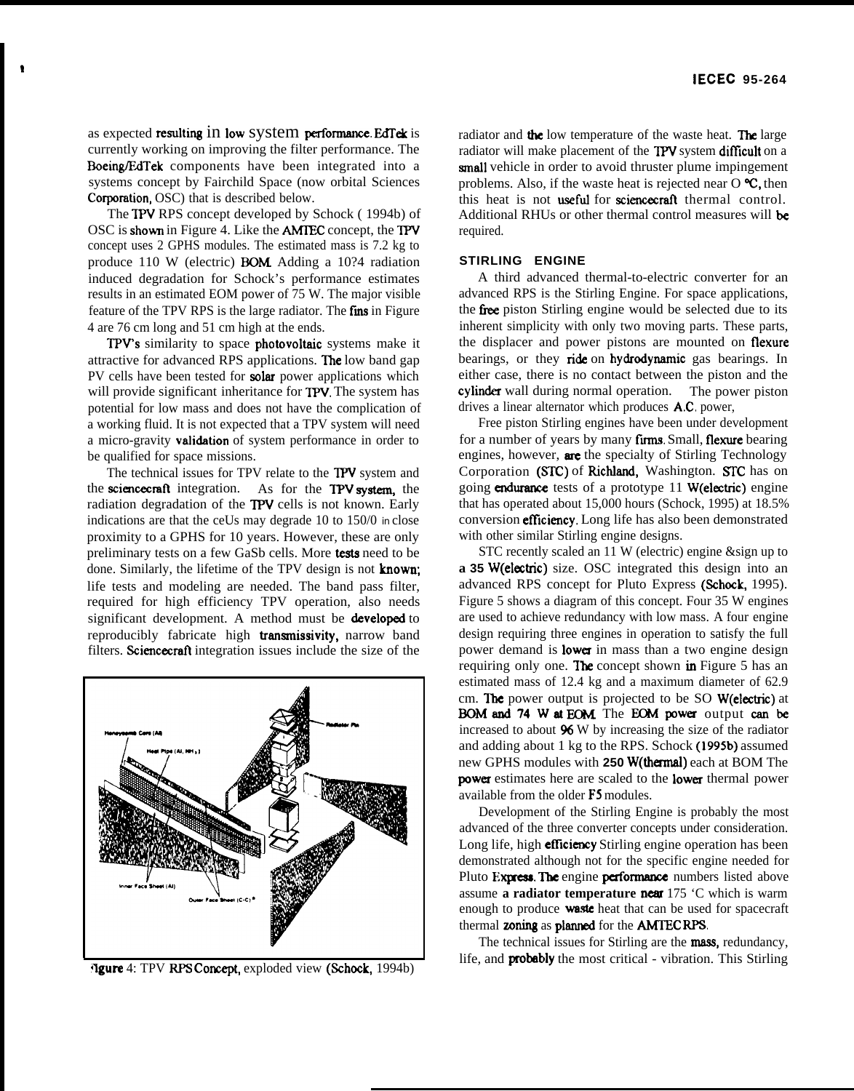as expected resulting 1n low System performance. EdTek is currently working on improving the filter performance. The Boeing/EdTek components have been integrated into a systems concept by Fairchild Space (now orbital Sciences Corporation, OSC) that is described below.

The TPV RPS concept developed by Schock ( 1994b) of OSC is showm in Figure 4. Like the AMTEC concept, the TPV concept uses 2 GPHS modules. The estimated mass is 7.2 kg to produce 110 W (electric) **BOM** Adding a 10?4 radiation induced degradation for Schock's performance estimates results in an estimated EOM power of 75 W. The major visible feature of the TPV RPS is the large radiator. The fins in Figure 4 are 76 cm long and 51 cm high at the ends.

TPV'S similarity to space photovoltaic systems make it attractive for advanced RPS applications. The low band gap PV cells have been tested for **solar** power applications which will provide significant inheritance for **TPV**. The system has potential for low mass and does not have the complication of a working fluid. It is not expected that a TPV system will need a micro-gravity **validation** of system performance in order to be qualified for space missions.

The technical issues for TPV relate to the TPV system and the sciencecraft integration. As for the TPV system, the radiation degradation of the TPV cells is not known. Early indications are that the ceUs may degrade 10 to 150/0 *in* close proximity to a GPHS for 10 years. However, these are only preliminary tests on a few GaSb cells. More tests need to be done. Similarly, the lifetime of the TPV design is not **known**; life tests and modeling are needed. The band pass filter, required for high efficiency TPV operation, also needs significant development. A method must be **developed** to reproducibly fabricate high transmissivity, narrow band filters. Sciencecraft integration issues include the size of the



**Agure** 4: TPV RPS Concept, exploded view (Schock, 1994b)

radiator and the low temperature of the waste heat. The large radiator will make placement of the TPV system difficult on a small vehicle in order to avoid thruster plume impingement problems. Also, if the waste heat is rejected near  $O \mathcal{C}$ , then this heat is not useful for sciencezraft thermal control. Additional RHUs or other thermal control measures will be required.

## **STIRLING ENGINE**

A third advanced thermal-to-electric converter for an advanced RPS is the Stirling Engine. For space applications, the free piston Stirling engine would be selected due to its inherent simplicity with only two moving parts. These parts, the displacer and power pistons are mounted on flexure bearings, or they ride on hydrodynamic gas bearings. In either case, there is no contact between the piston and the cylinder wall during normal operation. The power piston drives a linear alternator which produces A.C, power,

Free piston Stirling engines have been under development for a number of years by many firms. Small, flexure bearing engines, however, are the specialty of Stirling Technology Corporation (STC) of Richland, Washington. STC has on going endurance tests of a prototype  $11$  W(electric) engine that has operated about 15,000 hours (Schock, 1995) at 18.5% conversion efficiency. Long life has also been demonstrated with other similar Stirling engine designs.

STC recently scaled an 11 W (electric) engine &sign up to **a 35** W(electric) size. OSC integrated this design into an advanced RPS concept for Pluto Express (Schock, 1995). Figure 5 shows a diagram of this concept. Four 35 W engines are used to achieve redundancy with low mass. A four engine design requiring three engines in operation to satisfy the full power demand is **lower** in mass than a two engine design requiring only one. **The** concept shown in Figure 5 has an estimated mass of 12.4 kg and a maximum diameter of 62.9 cm. Ihe power output is projected to be SO W(electric) at BOM and 74 W at EOM The EOM power output can be increased to about  $96$  W by increasing the size of the radiator and adding about 1 kg to the RPS. Schock (1995b) assumed new GPHS modules with **250 W(themal)** each at BOM The power estimates here are scaled to the lower thermal power available from the older F5 modules.

Development of the Stirling Engine is probably the most advanced of the three converter concepts under consideration. Long life, high **efficiency** Stirling engine operation has been demonstrated although not for the specific engine needed for Pluto Express. The engine performance numbers listed above assume a radiator temperature **near** 175 °C which is warm enough to produce **waste** heat that can be used for spacecraft thermal zoning as planned for the AMTEC RPS.

The technical issues for Stirling are the **mass**, redundancy, life, and **probably** the most critical - vibration. This Stirling